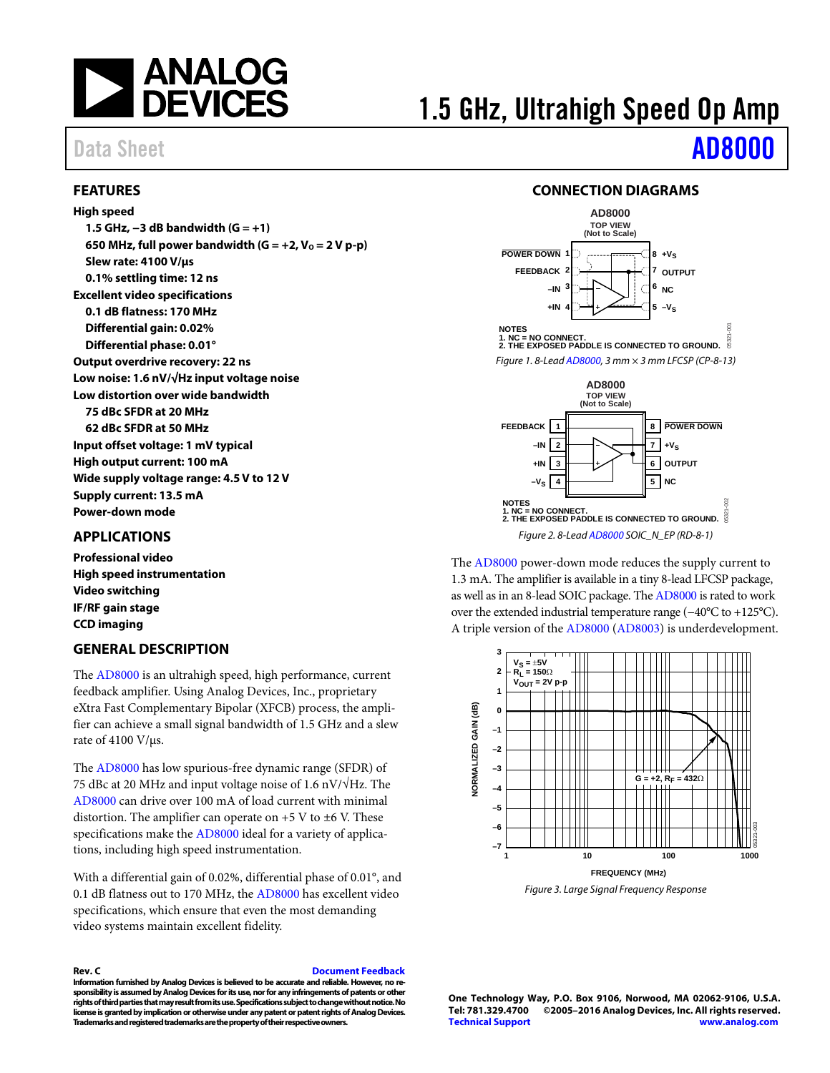

## <span id="page-0-0"></span>**FEATURES**

**High speed 1.5 GHz, −3 dB bandwidth (G = +1)**  650 MHz, full power bandwidth  $(G = +2, V_0 = 2 V p-p)$ **Slew rate: 4100 V/μs 0.1% settling time: 12 ns Excellent video specifications 0.1 dB flatness: 170 MHz Differential gain: 0.02% Differential phase: 0.01° Output overdrive recovery: 22 ns Low noise: 1.6 nV/√Hz input voltage noise Low distortion over wide bandwidth 75 dBc SFDR at 20 MHz 62 dBc SFDR at 50 MHz Input offset voltage: 1 mV typical High output current: 100 mA Wide supply voltage range: 4.5 V to 12 V Supply current: 13.5 mA Power-down mode** 

## <span id="page-0-1"></span>**APPLICATIONS**

**Professional video High speed instrumentation Video switching IF/RF gain stage CCD imaging** 

## <span id="page-0-2"></span>**GENERAL DESCRIPTION**

The [AD8000 i](http://www.analog.com/AD8000?doc=AD8000.pdf)s an ultrahigh speed, high performance, current feedback amplifier. Using Analog Devices, Inc., proprietary eXtra Fast Complementary Bipolar (XFCB) process, the amplifier can achieve a small signal bandwidth of 1.5 GHz and a slew rate of 4100 V/μs.

The [AD8000 h](http://www.analog.com/AD8000?doc=AD8000.pdf)as low spurious-free dynamic range (SFDR) of 75 dBc at 20 MHz and input voltage noise of 1.6 nV/ $\sqrt{\text{Hz}}$ . The [AD8000 c](http://www.analog.com/AD8000?doc=AD8000.pdf)an drive over 100 mA of load current with minimal distortion. The amplifier can operate on  $+5$  V to  $\pm 6$  V. These specifications make th[e AD8000 i](http://www.analog.com/AD8000?doc=AD8000.pdf)deal for a variety of applications, including high speed instrumentation.

With a differential gain of 0.02%, differential phase of 0.01°, and 0.1 dB flatness out to 170 MHz, th[e AD8000](http://www.analog.com/AD8000?doc=AD8000.pdf) has excellent video specifications, which ensure that even the most demanding video systems maintain excellent fidelity.

**Rev. C [Document Feedback](https://form.analog.com/Form_Pages/feedback/documentfeedback.aspx?doc=AD8000.pdf&product=AD8000&rev=C)  Information furnished by Analog Devices is believed to be accurate and reliable. However, no responsibility is assumed by Analog Devices for its use, nor for any infringements of patents or other rights of third parties that may result from its use. Specifications subject to change without notice. No license is granted by implication or otherwise under any patent or patent rights of Analog Devices. Trademarks and registered trademarks are the property of their respective owners.** 

# 1.5 GHz, Ultrahigh Speed Op Amp

Data Sheet **[AD8000](http://www.analog.com/AD8000?doc=AD8000.pdf)** 

### **CONNECTION DIAGRAMS**

<span id="page-0-3"></span>

The [AD8000](http://www.analog.com/AD8000?doc=AD8000.pdf) power-down mode reduces the supply current to 1.3 mA. The amplifier is available in a tiny 8-lead LFCSP package, as well as in an 8-lead SOIC package. Th[e AD8000](http://www.analog.com/AD8000?doc=AD8000.pdf) is rated to work over the extended industrial temperature range (−40°C to +125°C). A triple version of the [AD8000](http://www.analog.com/AD8000?doc=AD8000.pdf) [\(AD8003\)](http://www.analog.com/AD8003?doc=AD8000.pdf) is underdevelopment.



**One Technology Way, P.O. Box 9106, Norwood, MA 02062-9106, U.S.A. Tel: 781.329.4700 ©2005–2016 Analog Devices, Inc. All rights reserved. [Technical Support](http://www.analog.com/en/content/technical_support_page/fca.html) [www.analog.com](http://www.analog.com/)**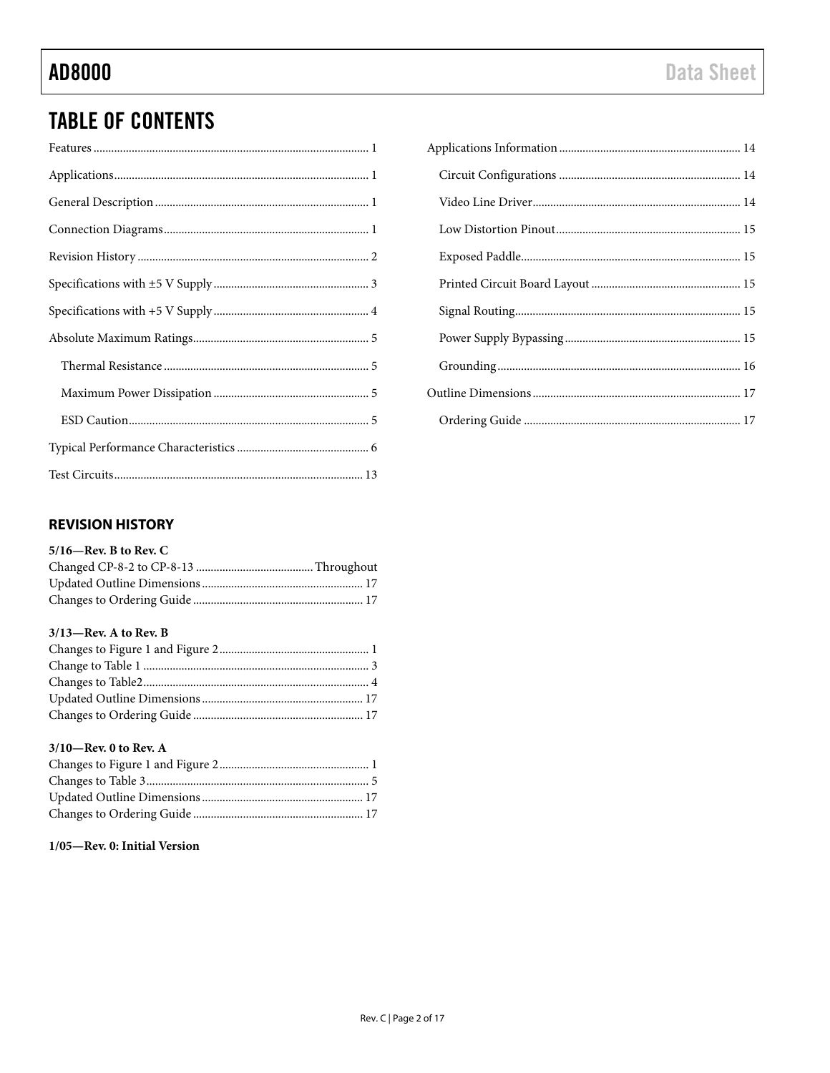## **TABLE OF CONTENTS**

## <span id="page-1-0"></span>**REVISION HISTORY**

### $5/16$ —Rev. B to Rev. C

### $3/13$ -Rev. A to Rev. B

### 3/10-Rev. 0 to Rev. A

## 1/05-Rev. 0: Initial Version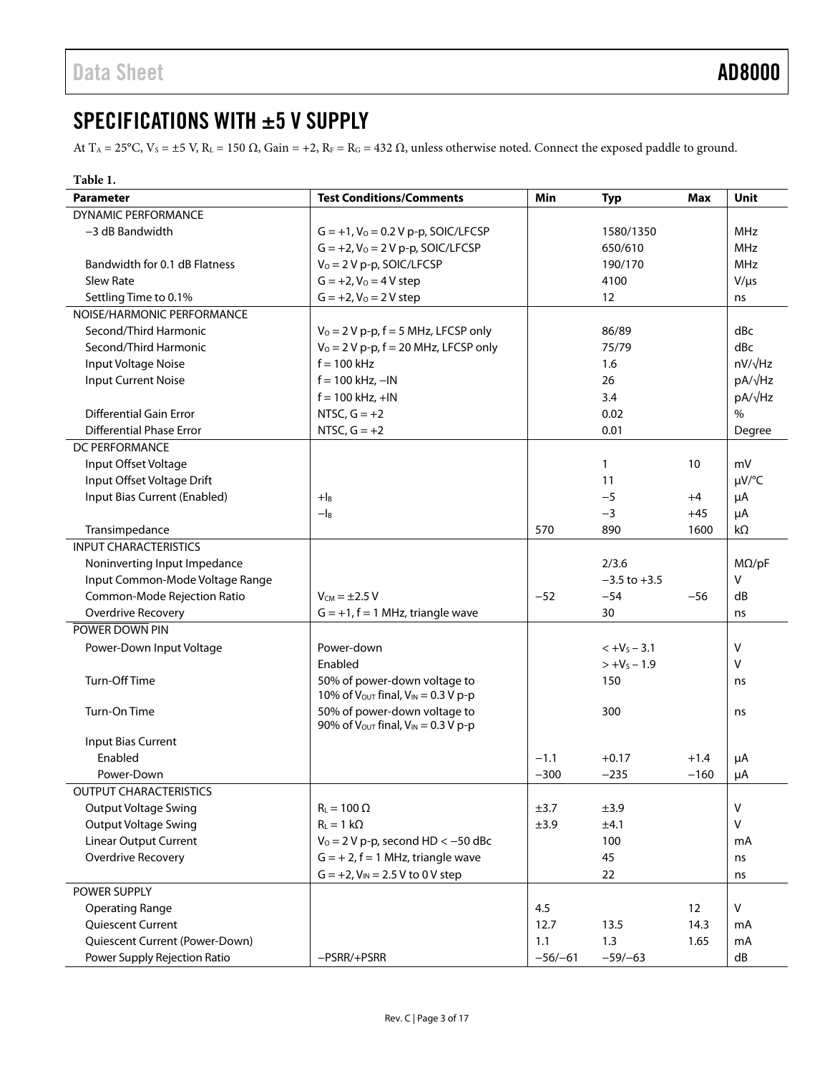## <span id="page-2-0"></span>SPECIFICATIONS WITH ±5 V SUPPLY

At T<sub>A</sub> = 25°C, V<sub>S</sub> = ±5 V, R<sub>L</sub> = 150 Ω, Gain = +2, R<sub>F</sub> = R<sub>G</sub> = 432 Ω, unless otherwise noted. Connect the exposed paddle to ground.

| Table 1.                                                       |                                                            |           |                  |        |               |
|----------------------------------------------------------------|------------------------------------------------------------|-----------|------------------|--------|---------------|
| <b>Parameter</b>                                               | <b>Test Conditions/Comments</b>                            | Min       | <b>Typ</b>       | Max    | <b>Unit</b>   |
| <b>DYNAMIC PERFORMANCE</b>                                     |                                                            |           |                  |        |               |
| -3 dB Bandwidth                                                | $G = +1$ , $V_0 = 0.2 V$ p-p, SOIC/LFCSP                   |           | 1580/1350        |        | MHz           |
|                                                                | $G = +2$ , $V_0 = 2 V p-p$ , SOIC/LFCSP                    |           | 650/610          |        | <b>MHz</b>    |
| Bandwidth for 0.1 dB Flatness                                  | $V_0 = 2 V p-p$ , SOIC/LFCSP                               |           | 190/170          |        | MHz           |
| <b>Slew Rate</b>                                               | $G = +2, V_0 = 4 V$ step                                   |           | 4100             |        | $V/\mu s$     |
| Settling Time to 0.1%                                          | $G = +2$ , $V_0 = 2 V$ step                                |           | 12               |        | ns            |
| NOISE/HARMONIC PERFORMANCE                                     |                                                            |           |                  |        |               |
| Second/Third Harmonic                                          | $V_0 = 2 V p-p$ , $f = 5 MHz$ , LFCSP only                 |           | 86/89            |        | dBc           |
| Second/Third Harmonic                                          | $V_0 = 2 V p-p$ , $f = 20 MHz$ , LFCSP only                |           | 75/79            |        | dBc           |
| Input Voltage Noise                                            | $f = 100$ kHz                                              |           | 1.6              |        | nV/√Hz        |
| <b>Input Current Noise</b>                                     | $f = 100$ kHz, $-IN$                                       |           | 26               |        | pA/√Hz        |
|                                                                | $f = 100$ kHz, $+IN$                                       |           | 3.4              |        | pA/√Hz        |
| <b>Differential Gain Error</b>                                 | NTSC, $G = +2$                                             |           | 0.02             |        | $\frac{0}{0}$ |
| <b>Differential Phase Error</b>                                | NTSC, $G = +2$                                             |           | 0.01             |        | Degree        |
| DC PERFORMANCE                                                 |                                                            |           |                  |        |               |
| Input Offset Voltage                                           |                                                            |           | 1                | 10     | mV            |
| Input Offset Voltage Drift                                     |                                                            |           | 11               |        | µV/°C         |
| Input Bias Current (Enabled)                                   | $+$ <sub>B</sub>                                           |           | $-5$             | $+4$   | μA            |
|                                                                | $- I_B$                                                    |           | $-3$             | $+45$  | μA            |
| Transimpedance                                                 |                                                            | 570       | 890              | 1600   | kΩ            |
| <b>INPUT CHARACTERISTICS</b>                                   |                                                            |           |                  |        |               |
| Noninverting Input Impedance                                   |                                                            |           | 2/3.6            |        | $M\Omega$ /pF |
| Input Common-Mode Voltage Range                                |                                                            |           | $-3.5$ to $+3.5$ |        | $\vee$        |
| Common-Mode Rejection Ratio                                    | $V_{CM} = \pm 2.5 V$                                       | $-52$     | $-54$            | $-56$  | dB            |
| <b>Overdrive Recovery</b>                                      | $G = +1$ , $f = 1$ MHz, triangle wave                      |           | 30               |        | ns            |
| POWER DOWN PIN                                                 |                                                            |           |                  |        |               |
| Power-Down Input Voltage                                       | Power-down                                                 |           | $< +Vs - 3.1$    |        | V             |
|                                                                | Enabled                                                    |           | $> +V_s - 1.9$   |        | v             |
| Turn-Off Time                                                  | 50% of power-down voltage to                               |           | 150              |        | ns            |
|                                                                | 10% of $V_{\text{OUT}}$ final, $V_{\text{IN}} = 0.3 V$ p-p |           |                  |        |               |
| Turn-On Time                                                   | 50% of power-down voltage to                               | 300       |                  |        | ns            |
|                                                                | 90% of $V_{\text{OUT}}$ final, $V_{\text{IN}} = 0.3 V$ p-p |           |                  |        |               |
| Input Bias Current                                             |                                                            |           |                  |        |               |
| Enabled                                                        |                                                            | $-1.1$    | $+0.17$          | $+1.4$ | μA            |
| Power-Down                                                     |                                                            | $-300$    | $-235$           | $-160$ | $\mu A$       |
| <b>OUTPUT CHARACTERISTICS</b>                                  |                                                            |           |                  |        |               |
| <b>Output Voltage Swing</b>                                    | $R_L = 100 \Omega$                                         | ±3.7      | ±3.9             |        | V             |
| <b>Output Voltage Swing</b>                                    | $R_L = 1 k\Omega$                                          | ±3.9      | ±4.1             |        | V             |
| Linear Output Current<br>$V_0 = 2 V p-p$ , second HD < -50 dBc |                                                            |           | 100              |        | mA            |
| Overdrive Recovery                                             | $G = +2$ , $f = 1$ MHz, triangle wave                      |           | 45               |        | ns            |
|                                                                | $G = +2$ , $V_{IN} = 2.5 V$ to 0 V step                    |           | 22               |        | ns            |
| POWER SUPPLY                                                   |                                                            |           |                  |        |               |
| <b>Operating Range</b>                                         |                                                            | 4.5       |                  | 12     | ${\sf V}$     |
| Quiescent Current                                              |                                                            | 12.7      | 13.5             | 14.3   | mA            |
| Quiescent Current (Power-Down)                                 |                                                            | 1.1       | 1.3              | 1.65   | mA            |
| Power Supply Rejection Ratio                                   | -PSRR/+PSRR                                                | $-56/-61$ | $-59/-63$        |        | dB            |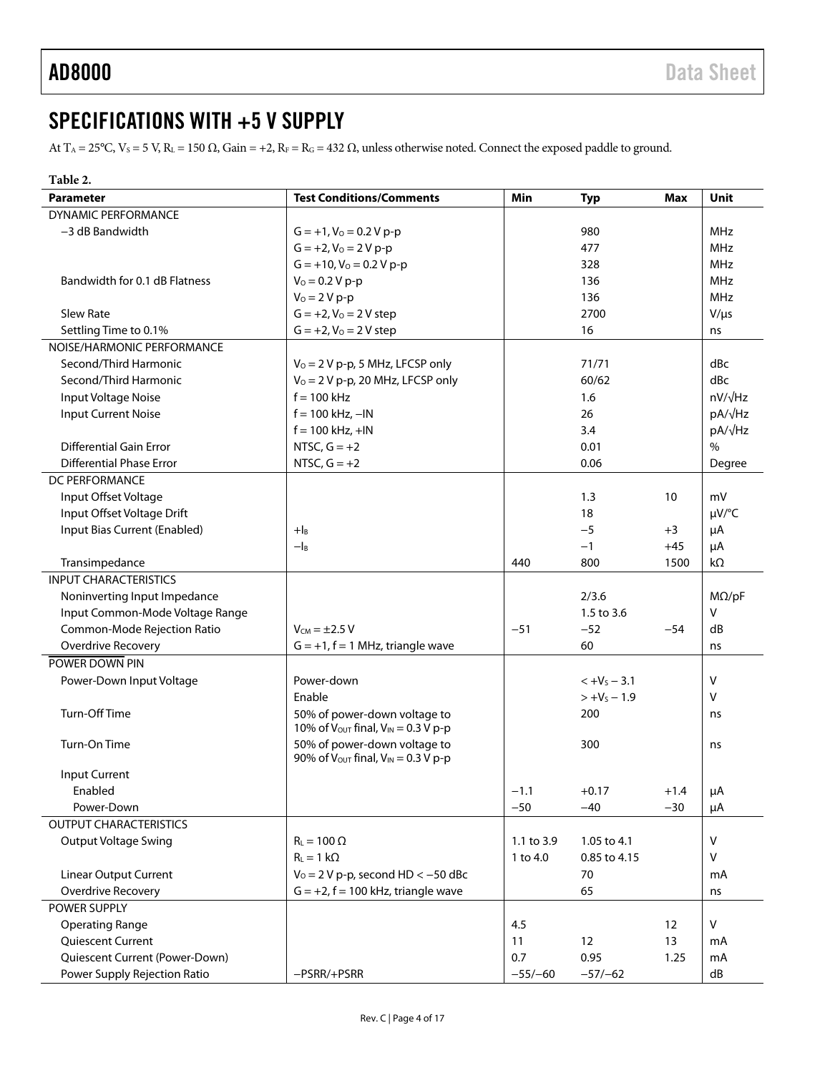## <span id="page-3-0"></span>SPECIFICATIONS WITH +5 V SUPPLY

At T<sub>A</sub> = 25°C, V<sub>S</sub> = 5 V, R<sub>L</sub> = 150  $\Omega$ , Gain = +2, R<sub>F</sub> = R<sub>G</sub> = 432  $\Omega$ , unless otherwise noted. Connect the exposed paddle to ground.

| Min<br><b>Parameter</b><br><b>Test Conditions/Comments</b><br><b>Max</b><br><b>Unit</b><br><b>Typ</b><br><b>DYNAMIC PERFORMANCE</b> |  |
|-------------------------------------------------------------------------------------------------------------------------------------|--|
|                                                                                                                                     |  |
|                                                                                                                                     |  |
| <b>MHz</b><br>-3 dB Bandwidth<br>$G = +1$ , $V_0 = 0.2 V p-p$<br>980                                                                |  |
| $G = +2, V_0 = 2 V p-p$<br><b>MHz</b><br>477                                                                                        |  |
| $G = +10$ , $V_0 = 0.2 V p-p$<br><b>MHz</b><br>328                                                                                  |  |
| $V_0 = 0.2 V p-p$<br><b>MHz</b><br>Bandwidth for 0.1 dB Flatness<br>136                                                             |  |
| $V_0 = 2 V p - p$<br><b>MHz</b><br>136                                                                                              |  |
| Slew Rate<br>$G = +2, V_0 = 2 V$ step<br>2700<br>$V/\mu s$                                                                          |  |
| Settling Time to 0.1%<br>$G = +2, V_0 = 2 V$ step<br>16<br>ns                                                                       |  |
| NOISE/HARMONIC PERFORMANCE                                                                                                          |  |
| dBc<br>Second/Third Harmonic<br>$V_0 = 2 V p-p$ , 5 MHz, LFCSP only<br>71/71                                                        |  |
| Second/Third Harmonic<br>$V_0 = 2 V p-p$ , 20 MHz, LFCSP only<br>dBc<br>60/62                                                       |  |
| $nV/\sqrt{Hz}$<br>$f = 100$ kHz<br>Input Voltage Noise<br>1.6                                                                       |  |
| <b>Input Current Noise</b><br>$f = 100$ kHz, $-IN$<br>pA/√Hz<br>26                                                                  |  |
| pA/√Hz<br>$f = 100$ kHz, $+$ IN<br>3.4                                                                                              |  |
| <b>Differential Gain Error</b><br>NTSC, $G = +2$<br>$\frac{0}{0}$<br>0.01                                                           |  |
| NTSC, $G = +2$<br><b>Differential Phase Error</b><br>0.06<br>Degree                                                                 |  |
| <b>DC PERFORMANCE</b>                                                                                                               |  |
| Input Offset Voltage<br>10<br>1.3<br>mV                                                                                             |  |
| Input Offset Voltage Drift<br>µV/°C<br>18                                                                                           |  |
| Input Bias Current (Enabled)<br>$-5$<br>$+$ IB<br>μA<br>$+3$                                                                        |  |
| $-I_B$<br>$-1$<br>$+45$<br>μA                                                                                                       |  |
| Transimpedance<br>440<br>800<br>1500<br>kΩ                                                                                          |  |
| <b>INPUT CHARACTERISTICS</b>                                                                                                        |  |
| Noninverting Input Impedance<br>2/3.6<br>$M\Omega$ /pF                                                                              |  |
| $\vee$<br>Input Common-Mode Voltage Range<br>1.5 to 3.6                                                                             |  |
| Common-Mode Rejection Ratio<br>$V_{CM} = \pm 2.5 V$<br>$-51$<br>$-52$<br>$-54$<br>dB                                                |  |
| 60<br><b>Overdrive Recovery</b><br>$G = +1$ , $f = 1$ MHz, triangle wave<br>ns                                                      |  |
| POWER DOWN PIN                                                                                                                      |  |
| V<br>Power-down                                                                                                                     |  |
| Power-Down Input Voltage<br>$< +VS - 3.1$<br>Enable<br>$> +V_s - 1.9$<br>V                                                          |  |
| Turn-Off Time                                                                                                                       |  |
| 50% of power-down voltage to<br>200<br>ns<br>10% of $V_{\text{OUT}}$ final, $V_{\text{IN}} = 0.3$ V p-p                             |  |
| 50% of power-down voltage to<br>Turn-On Time<br>300<br>ns                                                                           |  |
| 90% of $V_{\text{OUT}}$ final, $V_{\text{IN}} = 0.3 V$ p-p                                                                          |  |
| Input Current                                                                                                                       |  |
| Enabled<br>$-1.1$<br>$+0.17$<br>$+1.4$<br>μA                                                                                        |  |
| $-50$<br>$-40$<br>Power-Down<br>$-30$<br>μA                                                                                         |  |
| <b>OUTPUT CHARACTERISTICS</b>                                                                                                       |  |
| $R_L = 100 \Omega$<br>V<br><b>Output Voltage Swing</b><br>1.1 to 3.9<br>1.05 to 4.1                                                 |  |
| $R_L = 1 k\Omega$<br>$\vee$<br>1 to 4.0<br>0.85 to 4.15                                                                             |  |
| <b>Linear Output Current</b><br>$V_0 = 2 V p-p$ , second HD < -50 dBc<br>70<br>mA                                                   |  |
| $G = +2$ , $f = 100$ kHz, triangle wave<br><b>Overdrive Recovery</b><br>65<br>ns                                                    |  |
| POWER SUPPLY                                                                                                                        |  |
| 4.5<br>V<br><b>Operating Range</b><br>12                                                                                            |  |
| Quiescent Current<br>11<br>12<br>13<br>mA                                                                                           |  |
| Quiescent Current (Power-Down)<br>0.7<br>0.95<br>1.25<br>mA                                                                         |  |
| Power Supply Rejection Ratio<br>-PSRR/+PSRR<br>$-55/-60$<br>dB<br>$-57/-62$                                                         |  |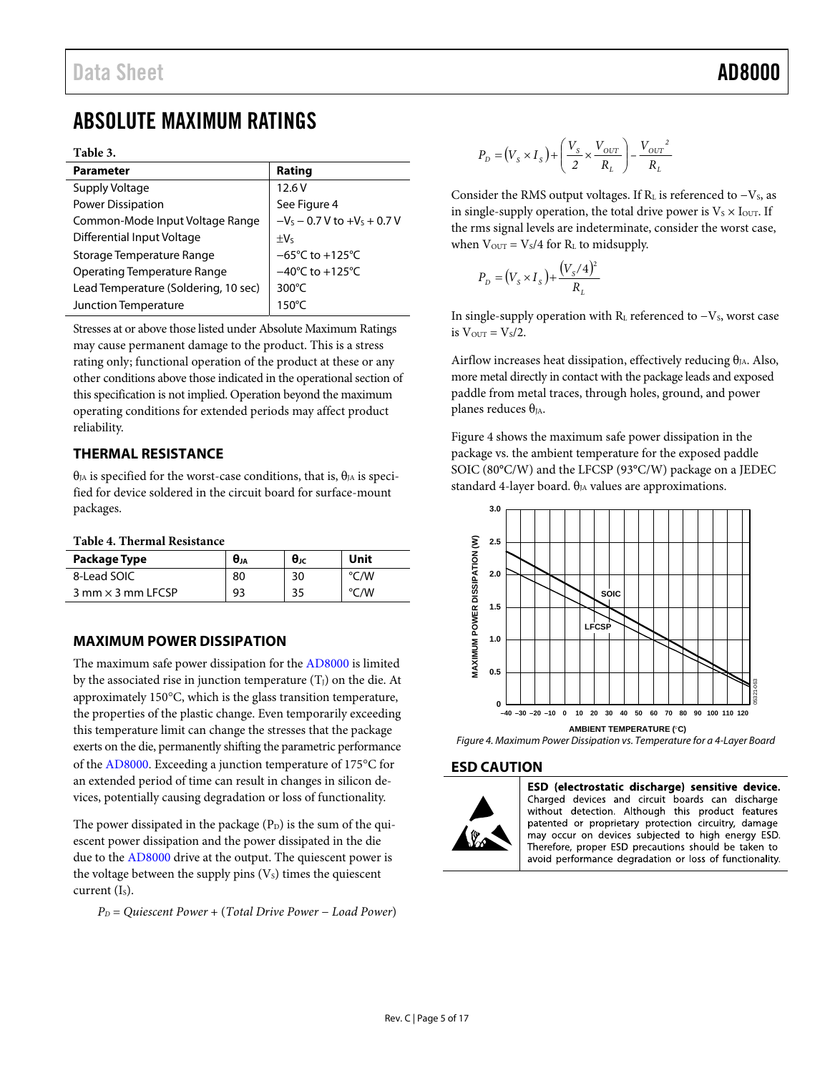## <span id="page-4-0"></span>ABSOLUTE MAXIMUM RATINGS

### **Table 3.**

| <b>Parameter</b>                     | Rating                               |
|--------------------------------------|--------------------------------------|
| Supply Voltage                       | 12.6V                                |
| Power Dissipation                    | See Figure 4                         |
| Common-Mode Input Voltage Range      | $-V_s - 0.7 V$ to $+V_s + 0.7 V$     |
| Differential Input Voltage           | $+V5$                                |
| Storage Temperature Range            | $-65^{\circ}$ C to +125 $^{\circ}$ C |
| <b>Operating Temperature Range</b>   | $-40^{\circ}$ C to $+125^{\circ}$ C  |
| Lead Temperature (Soldering, 10 sec) | $300^{\circ}$ C                      |
| Junction Temperature                 | $150^{\circ}$ C                      |

Stresses at or above those listed under Absolute Maximum Ratings may cause permanent damage to the product. This is a stress rating only; functional operation of the product at these or any other conditions above those indicated in the operational section of this specification is not implied. Operation beyond the maximum operating conditions for extended periods may affect product reliability.

## <span id="page-4-1"></span>**THERMAL RESISTANCE**

 $\theta_{IA}$  is specified for the worst-case conditions, that is,  $\theta_{IA}$  is specified for device soldered in the circuit board for surface-mount packages.

### **Table 4. Thermal Resistance**

| Package Type               | $\theta_{JA}$ | $\theta_{\rm JC}$ | Unit |
|----------------------------|---------------|-------------------|------|
| 8-Lead SOIC                | 80            | 30                | °C/W |
| $3$ mm $\times$ 3 mm LFCSP | 93            | 35                | °C/W |

## <span id="page-4-2"></span>**MAXIMUM POWER DISSIPATION**

The maximum safe power dissipation for the [AD8000 i](http://www.analog.com/AD8000?doc=AD8000.pdf)s limited by the associated rise in junction temperature  $(T<sub>I</sub>)$  on the die. At approximately  $150^{\circ}$ C, which is the glass transition temperature, the properties of the plastic change. Even temporarily exceeding this temperature limit can change the stresses that the package exerts on the die, permanently shifting the parametric performance of the [AD8000.](http://www.analog.com/AD8000?doc=AD8000.pdf) Exceeding a junction temperature of 175°C for an extended period of time can result in changes in silicon devices, potentially causing degradation or loss of functionality.

The power dissipated in the package  $(P_D)$  is the sum of the quiescent power dissipation and the power dissipated in the die due to the [AD8000](http://www.analog.com/AD8000?doc=AD8000.pdf) drive at the output. The quiescent power is the voltage between the supply pins  $(V<sub>S</sub>)$  times the quiescent current  $(I<sub>s</sub>)$ .

*PD* = *Quiescent Power* + (*Total Drive Power* − *Load Power*)

$$
P_D = (V_s \times I_s) + \left(\frac{V_s}{2} \times \frac{V_{OUT}}{R_L}\right) - \frac{V_{OUT}^2}{R_L}
$$

Consider the RMS output voltages. If RL is referenced to -Vs, as in single-supply operation, the total drive power is  $V_s \times I_{\text{OUT}}$ . If the rms signal levels are indeterminate, consider the worst case, when  $V_{\text{OUT}} = V_s/4$  for  $R_L$  to midsupply.

$$
P_D = (V_s \times I_s) + \frac{(V_s/4)^2}{R_L}
$$

In single-supply operation with  $R<sub>L</sub>$  referenced to  $-V<sub>S</sub>$ , worst case is  $V_{\text{OUT}} = V_s/2$ .

Airflow increases heat dissipation, effectively reducing  $\theta_{IA}$ . Also, more metal directly in contact with the package leads and exposed paddle from metal traces, through holes, ground, and power planes reduces  $\theta_{JA}$ .

[Figure 4](#page-4-4) shows the maximum safe power dissipation in the package vs. the ambient temperature for the exposed paddle SOIC (80°C/W) and the LFCSP (93°C/W) package on a JEDEC standard 4-layer board.  $\theta_{JA}$  values are approximations.



<span id="page-4-4"></span>Figure 4. Maximum Power Dissipation vs. Temperature for a 4-Layer Board

### <span id="page-4-3"></span>**ESD CAUTION**



ESD (electrostatic discharge) sensitive device. Charged devices and circuit boards can discharge

without detection. Although this product features patented or proprietary protection circuitry, damage may occur on devices subjected to high energy ESD. Therefore, proper ESD precautions should be taken to avoid performance degradation or loss of functionality.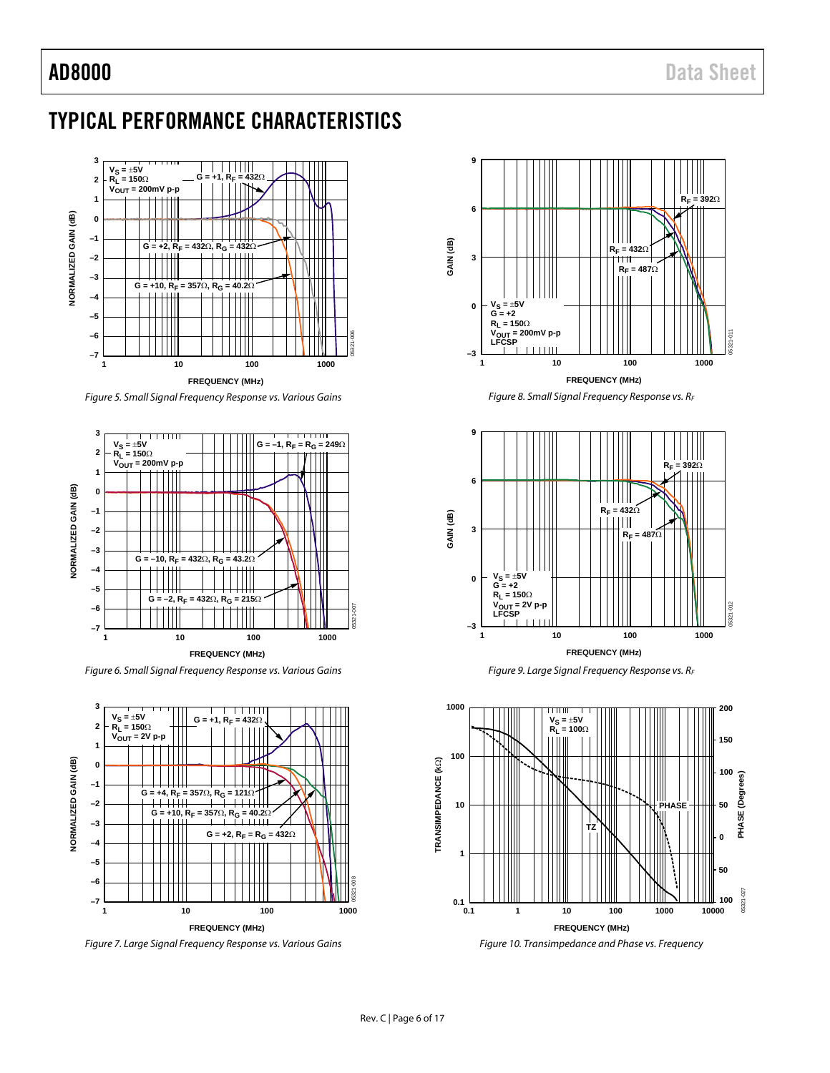## <span id="page-5-0"></span>TYPICAL PERFORMANCE CHARACTERISTICS



Figure 5. Small Signal Frequency Response vs. Various Gains



Figure 6. Small Signal Frequency Response vs. Various Gains



Figure 7. Large Signal Frequency Response vs. Various Gains



Figure 8. Small Signal Frequency Response vs. RF

<span id="page-5-1"></span>





Figure 10. Transimpedance and Phase vs. Frequency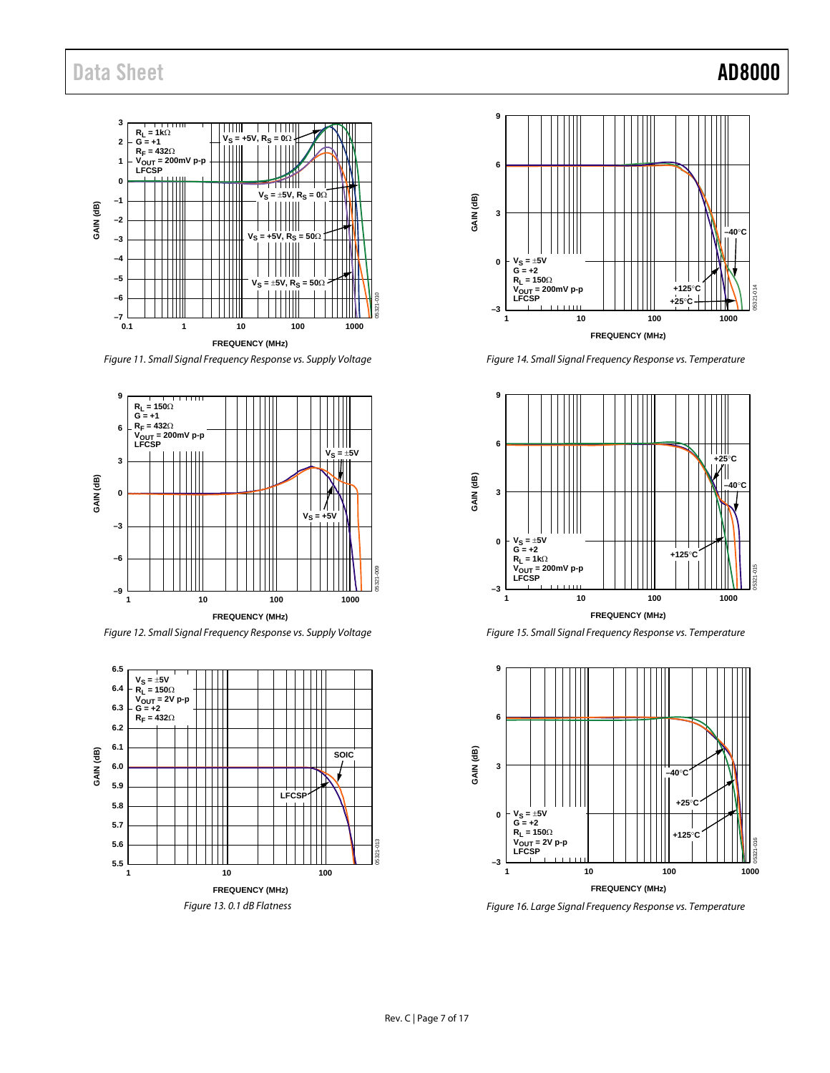

Figure 11. Small Signal Frequency Response vs. Supply Voltage



Figure 12. Small Signal Frequency Response vs. Supply Voltage





Figure 14. Small Signal Frequency Response vs. Temperature



Figure 15. Small Signal Frequency Response vs. Temperature



Figure 16. Large Signal Frequency Response vs. Temperature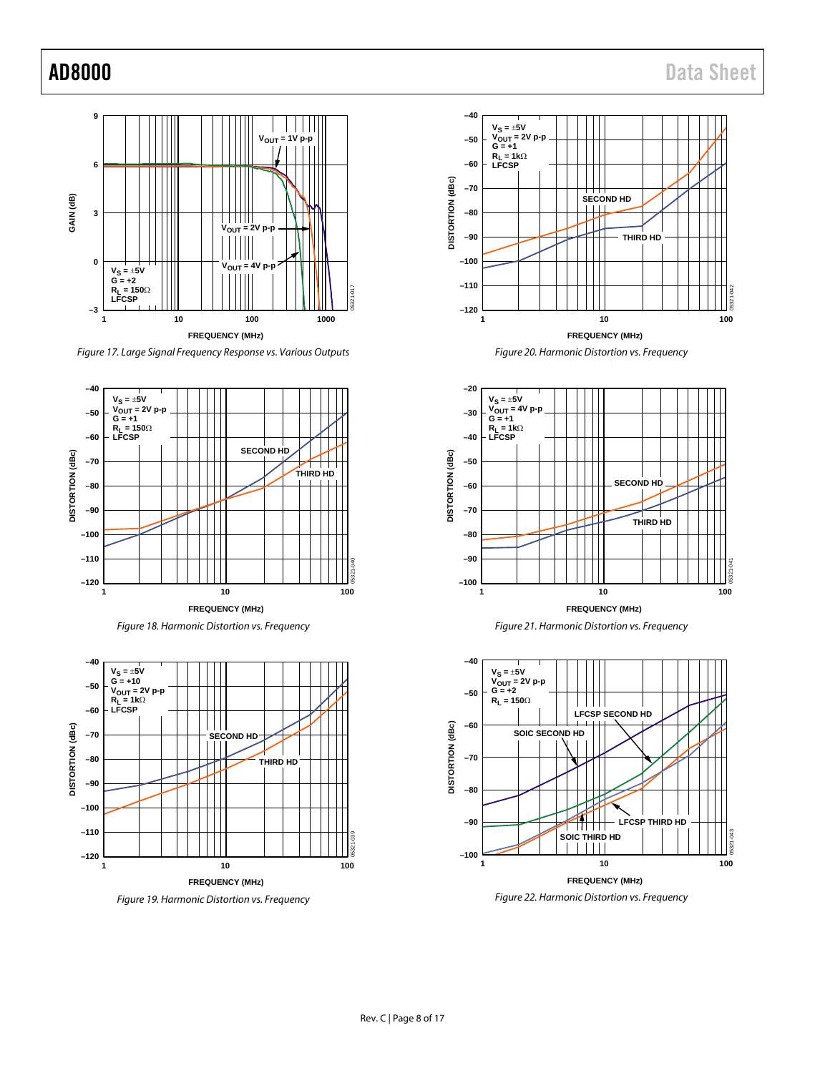

Figure 17. Large Signal Frequency Response vs. Various Outputs



Figure 18. Harmonic Distortion vs. Frequency



Figure 19. Harmonic Distortion vs. Frequency











<span id="page-7-0"></span>Figure 22. Harmonic Distortion vs. Frequency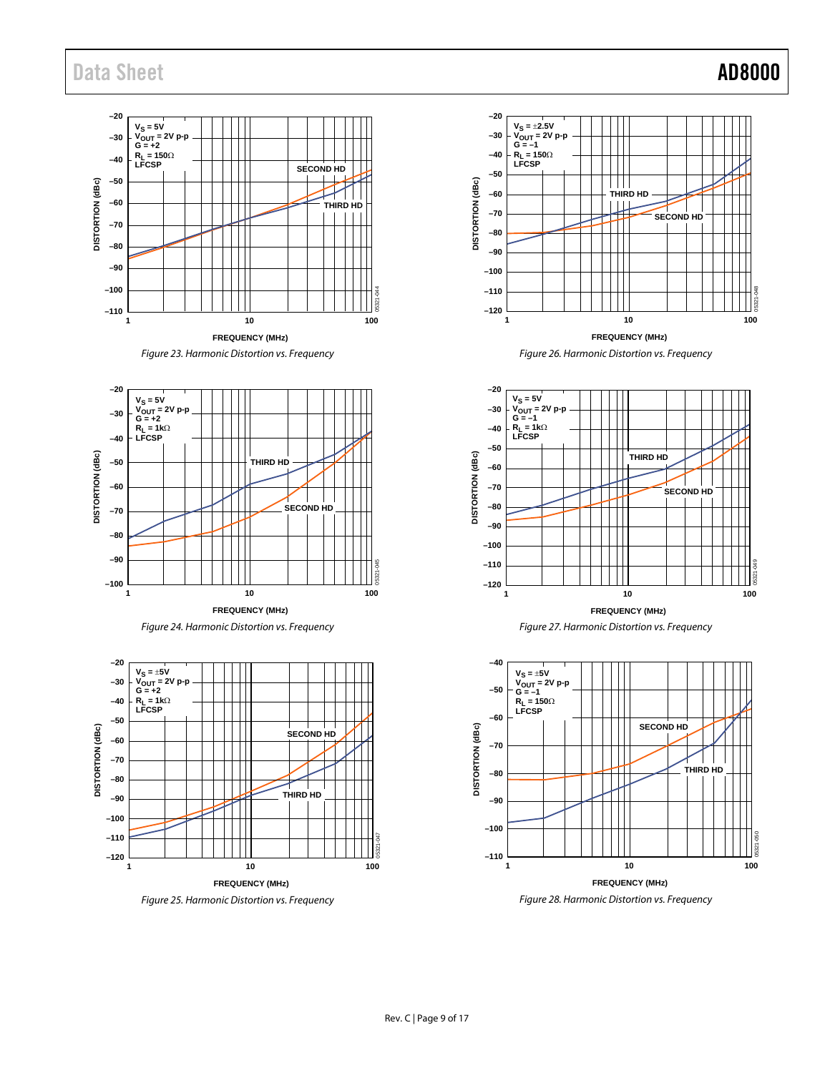## Data Sheet **AD8000**

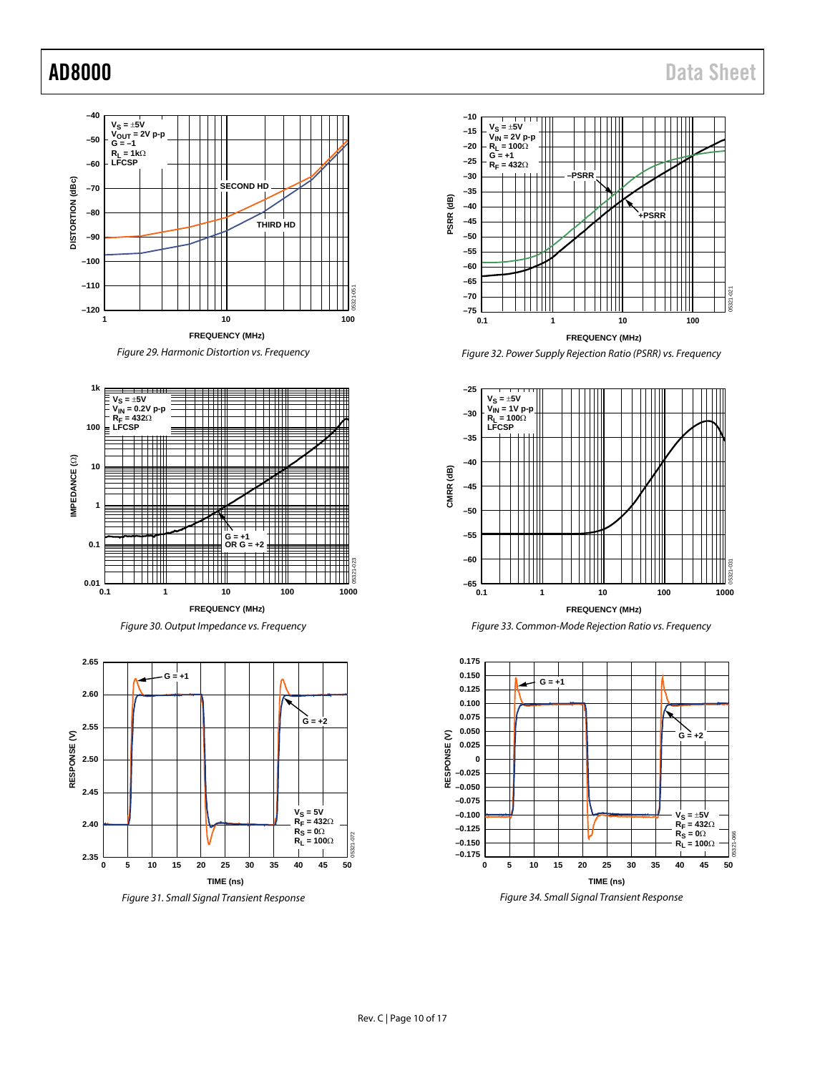05321-021

21 05321

05321-031

is?

05321-066

¥ **F321** 

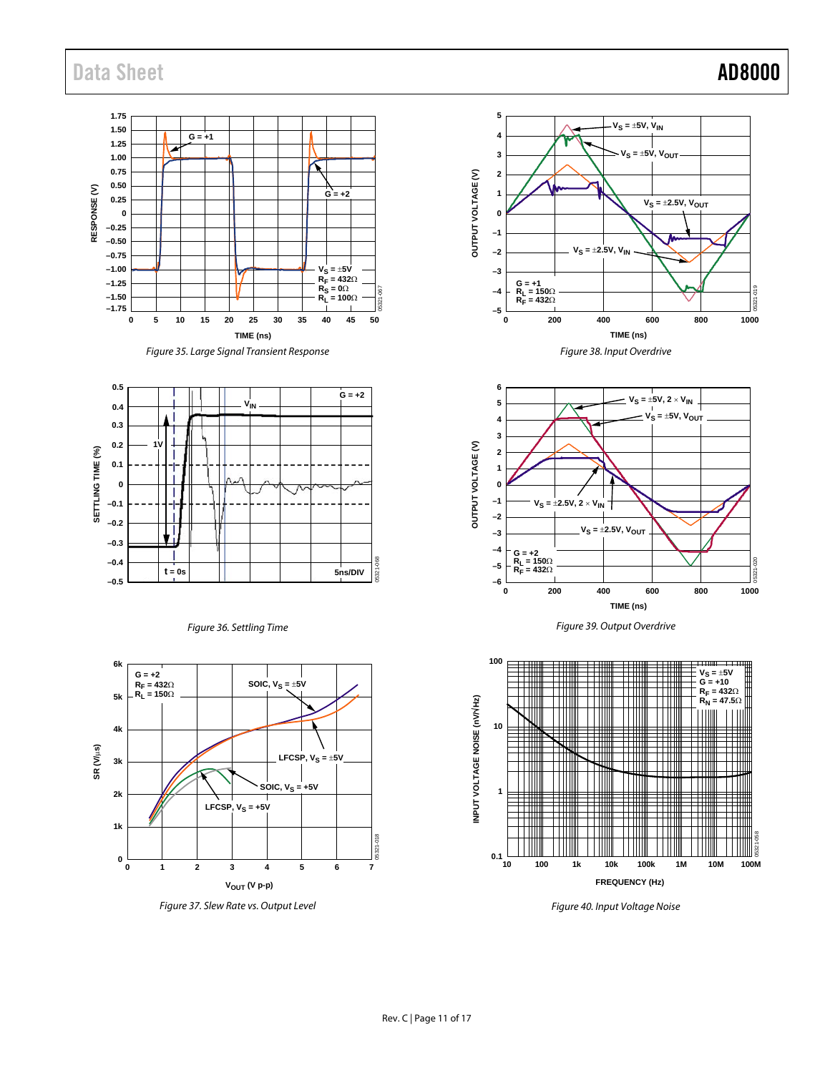## Data Sheet **AD8000**

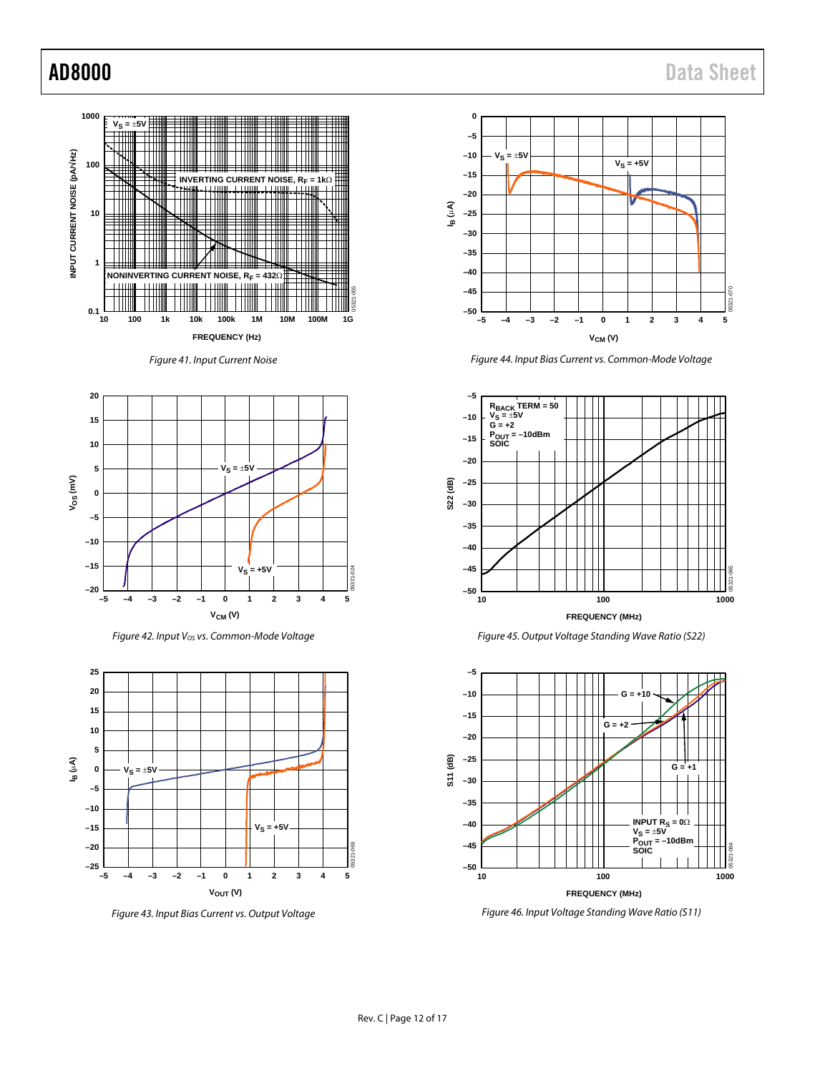

Figure 41. Input Current Noise



Figure 42. Input V<sub>os</sub> vs. Common-Mode Voltage



Figure 43. Input Bias Current vs. Output Voltage



Figure 44. Input Bias Current vs. Common-Mode Voltage



Figure 45. Output Voltage Standing Wave Ratio (S22)



Figure 46. Input Voltage Standing Wave Ratio (S11)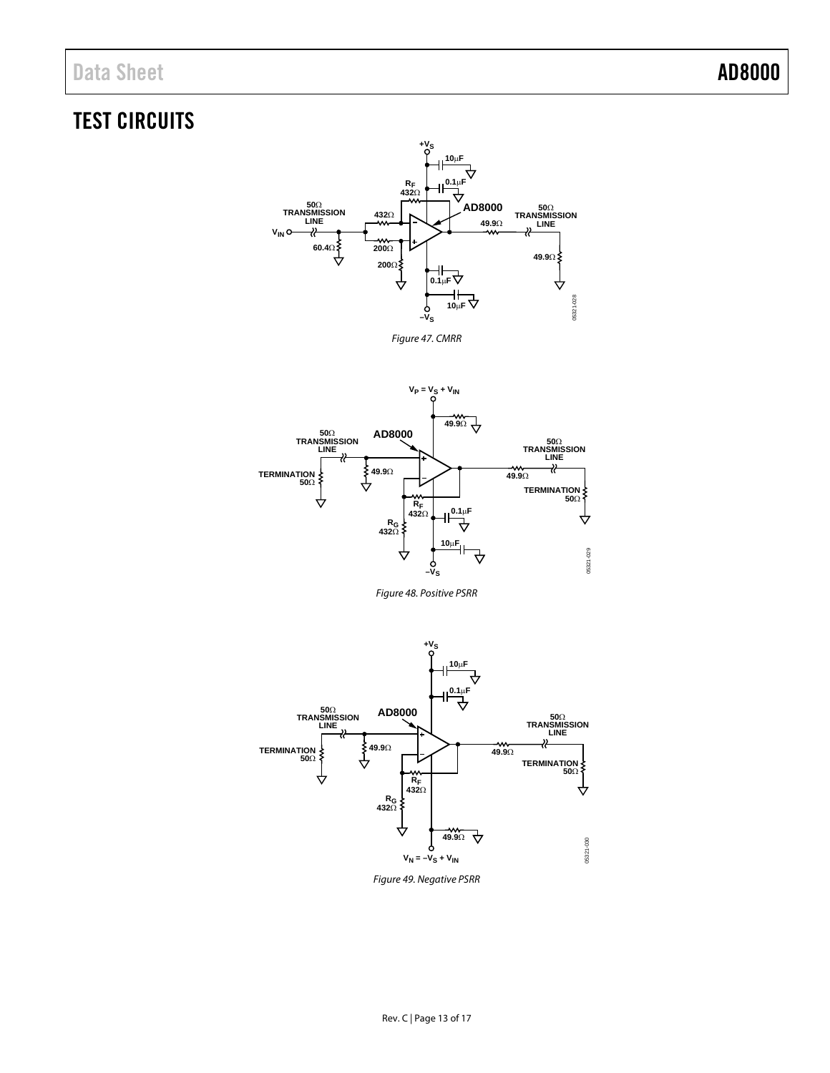## <span id="page-12-0"></span>TEST CIRCUITS







Figure 48. Positive PSRR



Figure 49. Negative PSRR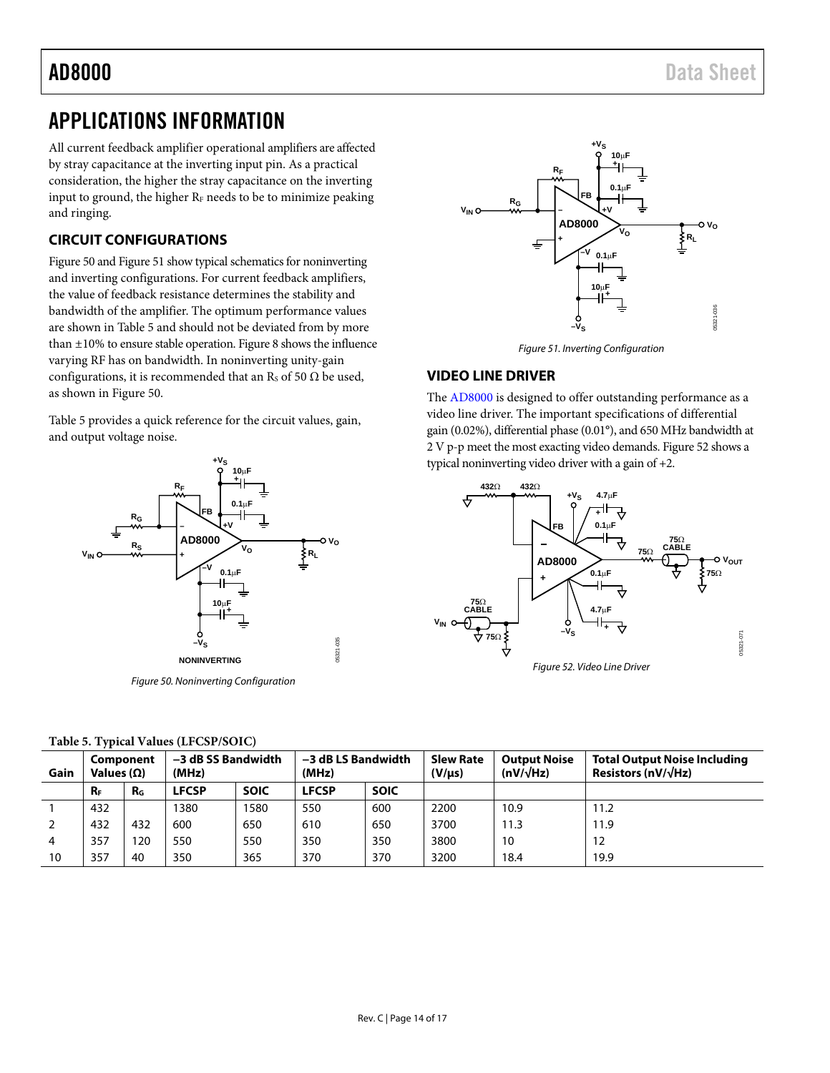## <span id="page-13-0"></span>APPLICATIONS INFORMATION

All current feedback amplifier operational amplifiers are affected by stray capacitance at the inverting input pin. As a practical consideration, the higher the stray capacitance on the inverting input to ground, the higher  $R<sub>F</sub>$  needs to be to minimize peaking and ringing.

## <span id="page-13-1"></span>**CIRCUIT CONFIGURATIONS**

[Figure 50 a](#page-13-3)n[d Figure 51](#page-13-4) show typical schematics for noninverting and inverting configurations. For current feedback amplifiers, the value of feedback resistance determines the stability and bandwidth of the amplifier. The optimum performance values are shown i[n Table 5 a](#page-13-5)nd should not be deviated from by more than ±10% to ensure stable operation[. Figure 8](#page-5-1) shows the influence varying RF has on bandwidth. In noninverting unity-gain configurations, it is recommended that an Rs of 50  $\Omega$  be used, as shown i[n Figure 50.](#page-13-3) 

[Table 5](#page-13-6) provides a quick reference for the circuit values, gain, and output voltage noise.



Figure 50. Noninverting Configuration



Figure 51. Inverting Configuration

## <span id="page-13-4"></span><span id="page-13-2"></span>**VIDEO LINE DRIVER**

The [AD8000 i](http://www.analog.com/AD8000?doc=AD8000.pdf)s designed to offer outstanding performance as a video line driver. The important specifications of differential gain (0.02%), differential phase (0.01°), and 650 MHz bandwidth at 2 V p-p meet the most exacting video demands[. Figure 52 s](#page-13-7)hows a typical noninverting video driver with a gain of +2.

<span id="page-13-7"></span>

<span id="page-13-6"></span><span id="page-13-5"></span><span id="page-13-3"></span>

| Gain | Component<br>Values $(\Omega)$ |         | -3 dB SS Bandwidth<br>-3 dB LS Bandwidth<br>(MHz)<br>(MHz) |             |              | <b>Slew Rate</b><br>(V/us) | <b>Output Noise</b><br>$(nV/\sqrt{Hz})$ | <b>Total Output Noise Including</b><br>Resistors (nV/ $\sqrt{Hz}$ ) |      |
|------|--------------------------------|---------|------------------------------------------------------------|-------------|--------------|----------------------------|-----------------------------------------|---------------------------------------------------------------------|------|
|      | $R_F$                          | $R_{G}$ | <b>LFCSP</b>                                               | <b>SOIC</b> | <b>LFCSP</b> | <b>SOIC</b>                |                                         |                                                                     |      |
|      | 432                            |         | 1380                                                       | 1580        | 550          | 600                        | 2200                                    | 10.9                                                                | 11.2 |
|      | 432                            | 432     | 600                                                        | 650         | 610          | 650                        | 3700                                    | 11.3                                                                | 11.9 |
|      | 357                            | 120     | 550                                                        | 550         | 350          | 350                        | 3800                                    | 10                                                                  | 12   |
| 10   | 357                            | 40      | 350                                                        | 365         | 370          | 370                        | 3200                                    | 18.4                                                                | 19.9 |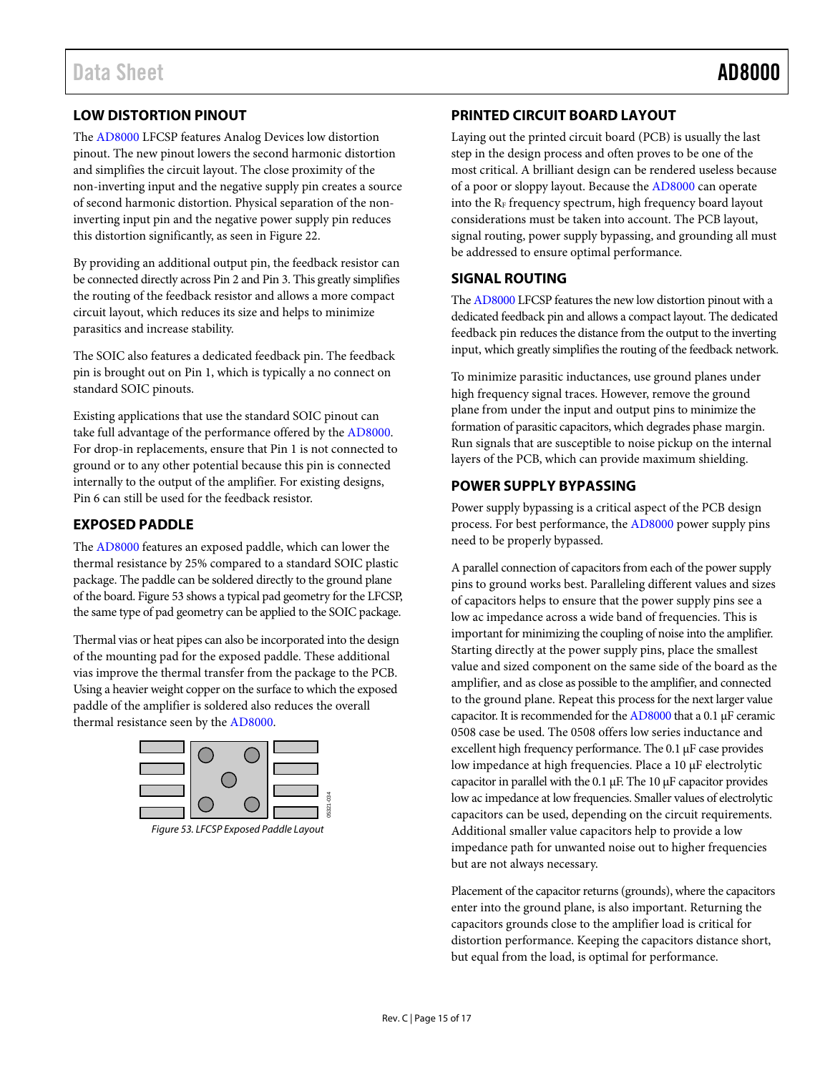## <span id="page-14-0"></span>**LOW DISTORTION PINOUT**

The [AD8000 L](http://www.analog.com/AD8000?doc=AD8000.pdf)FCSP features Analog Devices low distortion pinout. The new pinout lowers the second harmonic distortion and simplifies the circuit layout. The close proximity of the non-inverting input and the negative supply pin creates a source of second harmonic distortion. Physical separation of the noninverting input pin and the negative power supply pin reduces this distortion significantly, as seen i[n Figure 22.](#page-7-0) 

By providing an additional output pin, the feedback resistor can be connected directly across Pin 2 and Pin 3. This greatly simplifies the routing of the feedback resistor and allows a more compact circuit layout, which reduces its size and helps to minimize parasitics and increase stability.

The SOIC also features a dedicated feedback pin. The feedback pin is brought out on Pin 1, which is typically a no connect on standard SOIC pinouts.

Existing applications that use the standard SOIC pinout can take full advantage of the performance offered by th[e AD8000.](http://www.analog.com/AD8000?doc=AD8000.pdf) For drop-in replacements, ensure that Pin 1 is not connected to ground or to any other potential because this pin is connected internally to the output of the amplifier. For existing designs, Pin 6 can still be used for the feedback resistor.

## <span id="page-14-1"></span>**EXPOSED PADDLE**

The [AD8000 f](http://www.analog.com/AD8000?doc=AD8000.pdf)eatures an exposed paddle, which can lower the thermal resistance by 25% compared to a standard SOIC plastic package. The paddle can be soldered directly to the ground plane of the board[. Figure 53 s](#page-14-5)hows a typical pad geometry for the LFCSP, the same type of pad geometry can be applied to the SOIC package.

Thermal vias or heat pipes can also be incorporated into the design of the mounting pad for the exposed paddle. These additional vias improve the thermal transfer from the package to the PCB. Using a heavier weight copper on the surface to which the exposed paddle of the amplifier is soldered also reduces the overall thermal resistance seen by the [AD8000.](http://www.analog.com/AD8000?doc=AD8000.pdf) 



<span id="page-14-5"></span>Figure 53. LFCSP Exposed Paddle Layout

## <span id="page-14-2"></span>**PRINTED CIRCUIT BOARD LAYOUT**

Laying out the printed circuit board (PCB) is usually the last step in the design process and often proves to be one of the most critical. A brilliant design can be rendered useless because of a poor or sloppy layout. Because the [AD8000](http://www.analog.com/AD8000?doc=AD8000.pdf) can operate into the  $R_F$  frequency spectrum, high frequency board layout considerations must be taken into account. The PCB layout, signal routing, power supply bypassing, and grounding all must be addressed to ensure optimal performance.

## <span id="page-14-3"></span>**SIGNAL ROUTING**

Th[e AD8000](http://www.analog.com/AD8000?doc=AD8000.pdf) LFCSP features the new low distortion pinout with a dedicated feedback pin and allows a compact layout. The dedicated feedback pin reduces the distance from the output to the inverting input, which greatly simplifies the routing of the feedback network.

To minimize parasitic inductances, use ground planes under high frequency signal traces. However, remove the ground plane from under the input and output pins to minimize the formation of parasitic capacitors, which degrades phase margin. Run signals that are susceptible to noise pickup on the internal layers of the PCB, which can provide maximum shielding.

## <span id="page-14-4"></span>**POWER SUPPLY BYPASSING**

Power supply bypassing is a critical aspect of the PCB design process. For best performance, th[e AD8000](http://www.analog.com/AD8000?doc=AD8000.pdf) power supply pins need to be properly bypassed.

A parallel connection of capacitors from each of the power supply pins to ground works best. Paralleling different values and sizes of capacitors helps to ensure that the power supply pins see a low ac impedance across a wide band of frequencies. This is important for minimizing the coupling of noise into the amplifier. Starting directly at the power supply pins, place the smallest value and sized component on the same side of the board as the amplifier, and as close as possible to the amplifier, and connected to the ground plane. Repeat this process for the next larger value capacitor. It is recommended for th[e AD8000 t](http://www.analog.com/AD8000?doc=AD8000.pdf)hat a 0.1 μF ceramic 0508 case be used. The 0508 offers low series inductance and excellent high frequency performance. The 0.1 μF case provides low impedance at high frequencies. Place a 10 μF electrolytic capacitor in parallel with the 0.1 μF. The 10 μF capacitor provides low ac impedance at low frequencies. Smaller values of electrolytic capacitors can be used, depending on the circuit requirements. Additional smaller value capacitors help to provide a low impedance path for unwanted noise out to higher frequencies but are not always necessary.

Placement of the capacitor returns (grounds), where the capacitors enter into the ground plane, is also important. Returning the capacitors grounds close to the amplifier load is critical for distortion performance. Keeping the capacitors distance short, but equal from the load, is optimal for performance.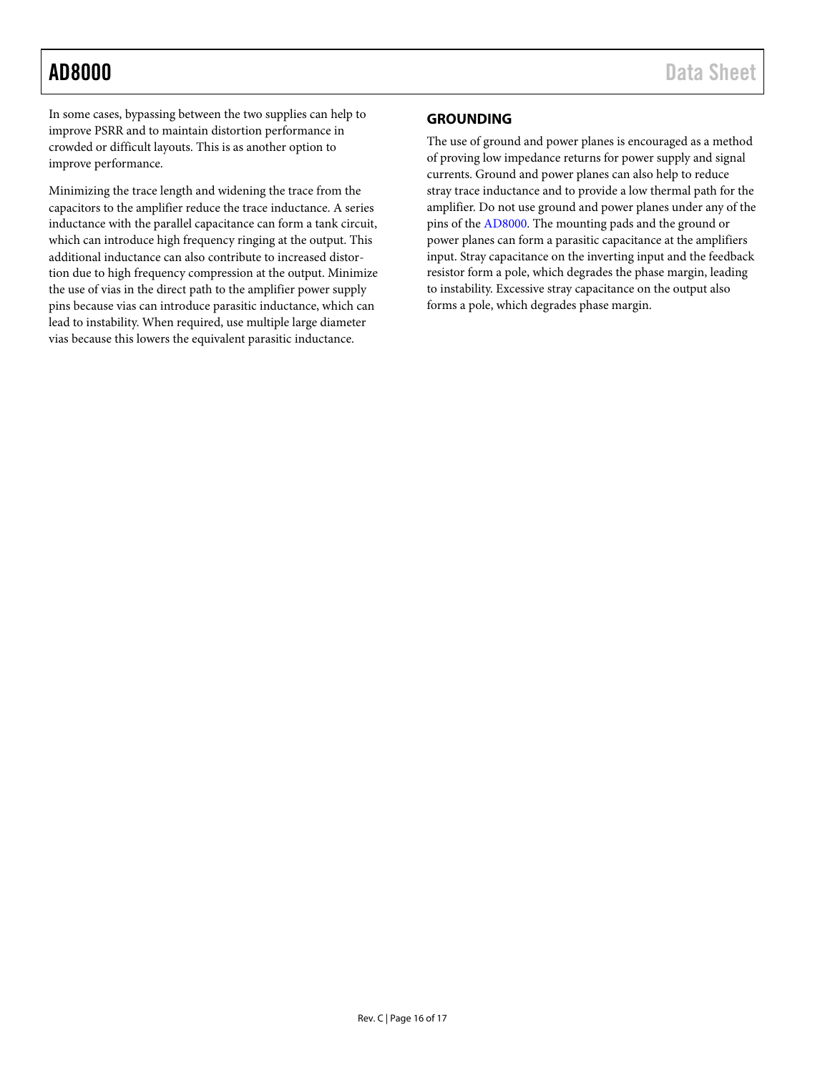In some cases, bypassing between the two supplies can help to improve PSRR and to maintain distortion performance in crowded or difficult layouts. This is as another option to improve performance.

Minimizing the trace length and widening the trace from the capacitors to the amplifier reduce the trace inductance. A series inductance with the parallel capacitance can form a tank circuit, which can introduce high frequency ringing at the output. This additional inductance can also contribute to increased distortion due to high frequency compression at the output. Minimize the use of vias in the direct path to the amplifier power supply pins because vias can introduce parasitic inductance, which can lead to instability. When required, use multiple large diameter vias because this lowers the equivalent parasitic inductance.

## <span id="page-15-0"></span>**GROUNDING**

The use of ground and power planes is encouraged as a method of proving low impedance returns for power supply and signal currents. Ground and power planes can also help to reduce stray trace inductance and to provide a low thermal path for the amplifier. Do not use ground and power planes under any of the pins of the [AD8000.](http://www.analog.com/AD8000?doc=AD8000.pdf) The mounting pads and the ground or power planes can form a parasitic capacitance at the amplifiers input. Stray capacitance on the inverting input and the feedback resistor form a pole, which degrades the phase margin, leading to instability. Excessive stray capacitance on the output also forms a pole, which degrades phase margin.